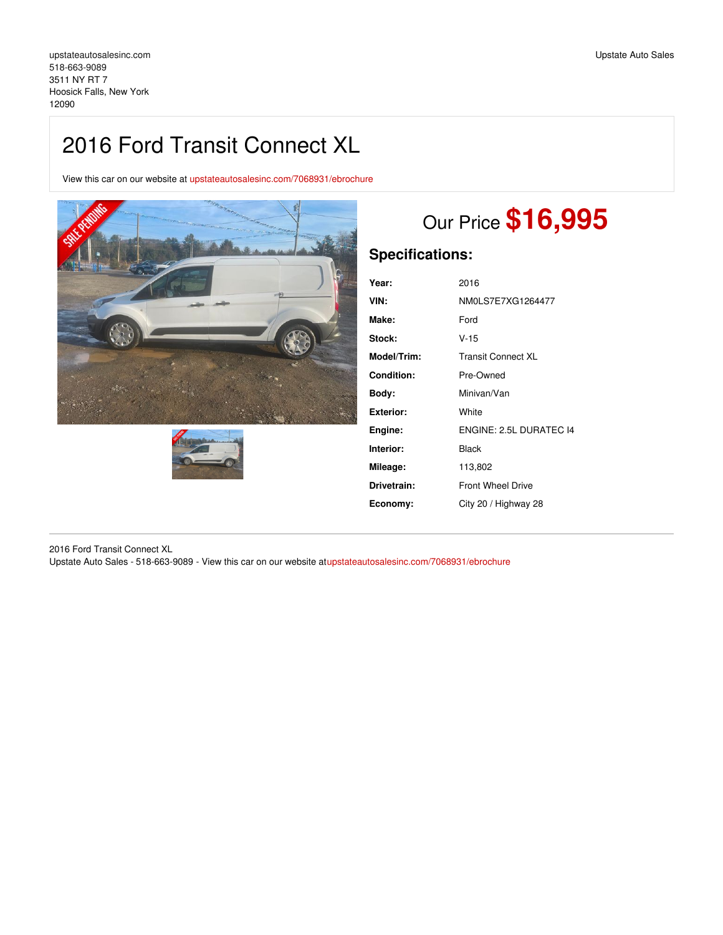## 2016 Ford Transit Connect XL

View this car on our website at [upstateautosalesinc.com/7068931/ebrochure](https://upstateautosalesinc.com/vehicle/7068931/2016-ford-transit-connect-xl-hoosick-falls-new-york-12090/7068931/ebrochure)





# Our Price **\$16,995**

## **Specifications:**

| Year:       | 2016                      |
|-------------|---------------------------|
| VIN:        | NM0LS7E7XG1264477         |
| Make:       | Ford                      |
| Stock:      | $V - 15$                  |
| Model/Trim: | <b>Transit Connect XL</b> |
| Condition:  | Pre-Owned                 |
| Body:       | Minivan/Van               |
| Exterior:   | White                     |
| Engine:     | ENGINE: 2.5L DURATEC 14   |
| Interior:   | Black                     |
| Mileage:    | 113,802                   |
| Drivetrain: | <b>Front Wheel Drive</b>  |
| Economy:    | City 20 / Highway 28      |
|             |                           |

2016 Ford Transit Connect XL Upstate Auto Sales - 518-663-9089 - View this car on our website a[tupstateautosalesinc.com/7068931/ebrochure](https://upstateautosalesinc.com/vehicle/7068931/2016-ford-transit-connect-xl-hoosick-falls-new-york-12090/7068931/ebrochure)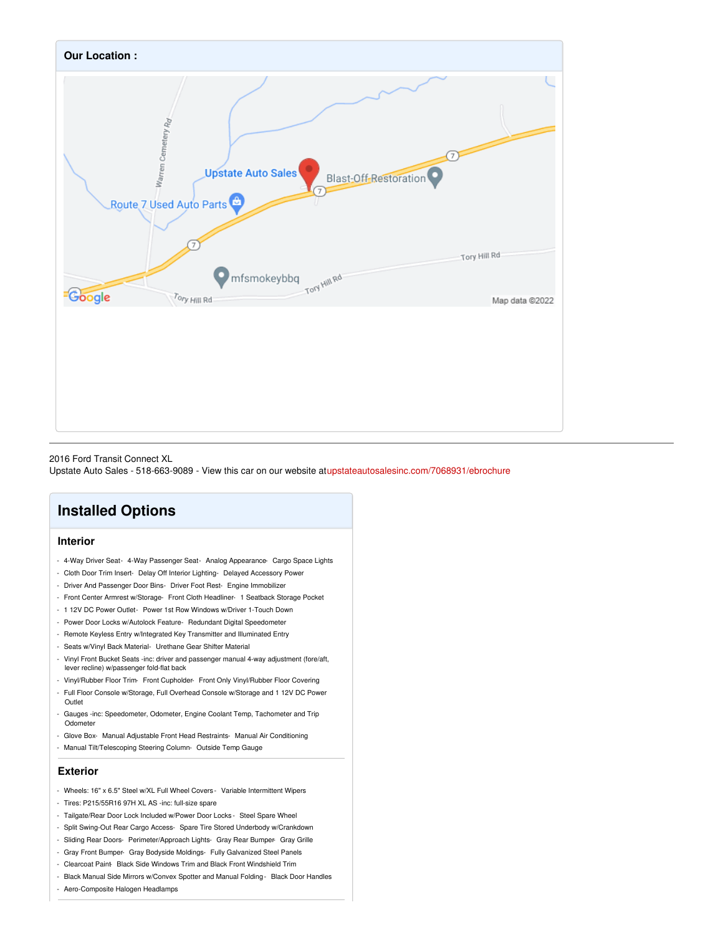

2016 Ford Transit Connect XL

Upstate Auto Sales - 518-663-9089 - View this car on our website a[tupstateautosalesinc.com/7068931/ebrochure](https://upstateautosalesinc.com/vehicle/7068931/2016-ford-transit-connect-xl-hoosick-falls-new-york-12090/7068931/ebrochure)

## **Installed Options**

#### **Interior**

- 4-Way Driver Seat- 4-Way Passenger Seat- Analog Appearance- Cargo Space Lights
- Cloth Door Trim Insert- Delay Off Interior Lighting- Delayed Accessory Power
- Driver And Passenger Door Bins- Driver Foot Rest- Engine Immobilizer
- Front Center Armrest w/Storage- Front Cloth Headliner- 1 Seatback Storage Pocket
- 1 12V DC Power Outlet- Power 1st Row Windows w/Driver 1-Touch Down
- Power Door Locks w/Autolock Feature- Redundant Digital Speedometer
- Remote Keyless Entry w/Integrated Key Transmitter and Illuminated Entry
- Seats w/Vinyl Back Material- Urethane Gear Shifter Material
- Vinyl Front Bucket Seats -inc: driver and passenger manual 4-way adjustment (fore/aft, lever recline) w/passenger fold-flat back
- Vinyl/Rubber Floor Trim- Front Cupholder- Front Only Vinyl/Rubber Floor Covering
- Full Floor Console w/Storage, Full Overhead Console w/Storage and 1 12V DC Power Outlet
- Gauges -inc: Speedometer, Odometer, Engine Coolant Temp, Tachometer and Trip Odometer
- Glove Box- Manual Adjustable Front Head Restraints- Manual Air Conditioning
- Manual Tilt/Telescoping Steering Column- Outside Temp Gauge

#### **Exterior**

- Wheels: 16" x 6.5" Steel w/XL Full Wheel Covers Variable Intermittent Wipers
- Tires: P215/55R16 97H XL AS -inc: full-size spare
- Tailgate/Rear Door Lock Included w/Power Door Locks Steel Spare Wheel
- Split Swing-Out Rear Cargo Access- Spare Tire Stored Underbody w/Crankdown
- Sliding Rear Doors- Perimeter/Approach Lights- Gray Rear Bumper- Gray Grille
- Gray Front Bumper- Gray Bodyside Moldings- Fully Galvanized Steel Panels
- Clearcoat Paint- Black Side Windows Trim and Black Front Windshield Trim
- Black Manual Side Mirrors w/Convex Spotter and Manual Folding Black Door Handles
- Aero-Composite Halogen Headlamps